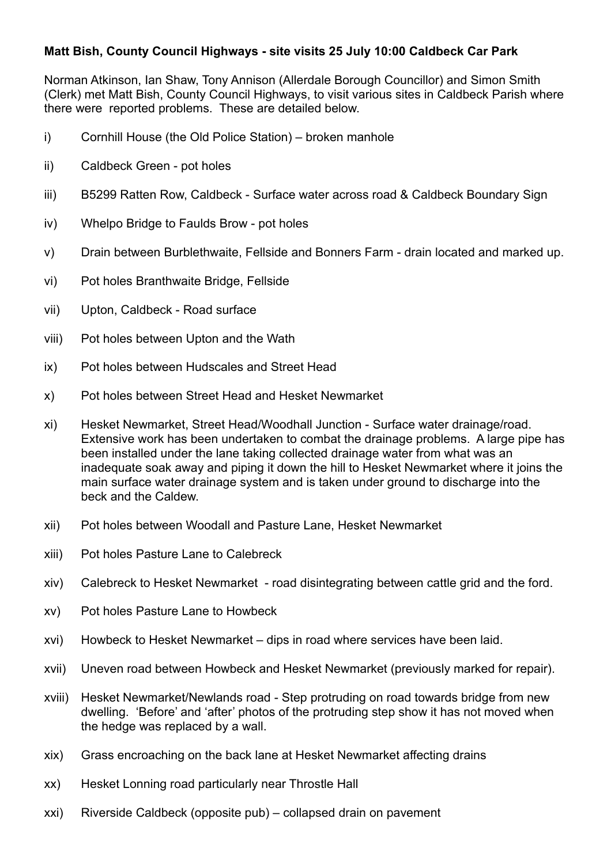## **Matt Bish, County Council Highways - site visits 25 July 10:00 Caldbeck Car Park**

Norman Atkinson, Ian Shaw, Tony Annison (Allerdale Borough Councillor) and Simon Smith (Clerk) met Matt Bish, County Council Highways, to visit various sites in Caldbeck Parish where there were reported problems. These are detailed below.

- i) Cornhill House (the Old Police Station) broken manhole
- ii) Caldbeck Green pot holes
- iii) B5299 Ratten Row, Caldbeck Surface water across road & Caldbeck Boundary Sign
- iv) Whelpo Bridge to Faulds Brow pot holes
- v) Drain between Burblethwaite, Fellside and Bonners Farm drain located and marked up.
- vi) Pot holes Branthwaite Bridge, Fellside
- vii) Upton, Caldbeck Road surface
- viii) Pot holes between Upton and the Wath
- ix) Pot holes between Hudscales and Street Head
- x) Pot holes between Street Head and Hesket Newmarket
- xi) Hesket Newmarket, Street Head/Woodhall Junction Surface water drainage/road. Extensive work has been undertaken to combat the drainage problems. A large pipe has been installed under the lane taking collected drainage water from what was an inadequate soak away and piping it down the hill to Hesket Newmarket where it joins the main surface water drainage system and is taken under ground to discharge into the beck and the Caldew.
- xii) Pot holes between Woodall and Pasture Lane, Hesket Newmarket
- xiii) Pot holes Pasture Lane to Calebreck
- xiv) Calebreck to Hesket Newmarket road disintegrating between cattle grid and the ford.
- xv) Pot holes Pasture Lane to Howbeck
- xvi) Howbeck to Hesket Newmarket dips in road where services have been laid.
- xvii) Uneven road between Howbeck and Hesket Newmarket (previously marked for repair).
- xviii) Hesket Newmarket/Newlands road Step protruding on road towards bridge from new dwelling. 'Before' and 'after' photos of the protruding step show it has not moved when the hedge was replaced by a wall.
- xix) Grass encroaching on the back lane at Hesket Newmarket affecting drains
- xx) Hesket Lonning road particularly near Throstle Hall
- xxi) Riverside Caldbeck (opposite pub) collapsed drain on pavement